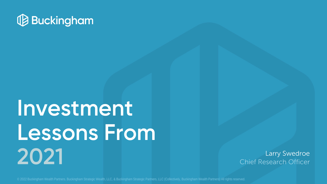

# **Investment Lessons From 2021**

Larry Swedroe Chief Research Officer

© 2022 Buckingham Wealth Partners. Buckingham Strategic Wealth, LLC, & Buckingham Strategic Partners, LLC (Collectively, Buckingham Wealth Partners) All rights reserved.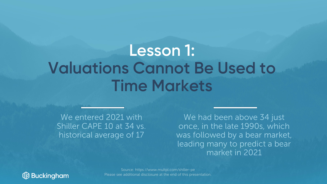### **Lesson 1: Valuations Cannot Be Used to Time Markets**

We entered 2021 with Shiller CAPE 10 at 34 vs. historical average of 17

We had been above 34 just once, in the late 1990s, which was followed by a bear market, leading many to predict a bear market in 2021



Source: https://www.multpl.com/shiller-pe Please see additional disclosure at the end of this presentation.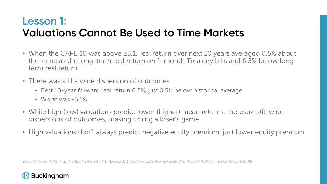#### **Lesson 1: Valuations Cannot Be Used to Time Markets**

- When the CAPE 10 was above 25.1, real return over next 10 years averaged 0.5% about the same as the long-term real return on 1-month Treasury bills and 6.3% below longterm real return
- There was still a wide dispersion of outcomes
	- Best 10-year forward real return 6.3%, just 0.5% below historical average
	- Worst was  $-6.1\%$
- While high (low) valuations predict lower (higher) mean returns, there are still wide dispersions of outcomes, making timing a loser's game
- High valuations don't always predict negative equity premium, just lower equity premium

Source: Cliff Asness, "An Old Friend: The Stock Market's Shiller P/E," November 2012. https://www.aqr.com/Insights/Research/White-Papers/An-Old-Friend-The-Stock-Markets-Shiller-PE

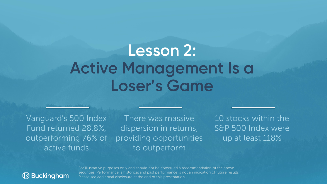### **Lesson 2: Active Management Is a Loser's Game**

Vanguard's 500 Index Fund returned 28.8%, outperforming 76% of active funds

There was massive dispersion in returns, providing opportunities to outperform

10 stocks within the S&P 500 Index were up at least 118%



For illustrative purposes only and should not be construed a recommendation of the above securities. Performance is historical and past performance is not an indication of future results. Please see additional disclosure at the end of this presentation.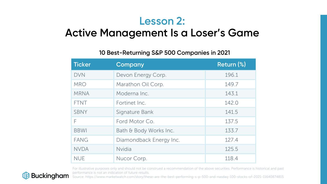#### **Lesson 2:**

#### **Active Management Is a Loser's Game**

#### **10 Best-Returning S&P 500 Companies in 2021**

| <b>Ticker</b> | Company                 | Return (%) |
|---------------|-------------------------|------------|
| <b>DVN</b>    | Devon Energy Corp.      | 196.1      |
| <b>MRO</b>    | Marathon Oil Corp.      | 149.7      |
| <b>MRNA</b>   | Moderna Inc.            | 143.1      |
| <b>FTNT</b>   | Fortinet Inc.           | 142.0      |
| <b>SBNY</b>   | Signature Bank          | 141.5      |
| F             | Ford Motor Co.          | 137.5      |
| <b>BBWI</b>   | Bath & Body Works Inc.  | 133.7      |
| <b>FANG</b>   | Diamondback Energy Inc. | 127.4      |
| <b>NVDA</b>   | <b>Nvidia</b>           | 125.5      |
| <b>NUE</b>    | Nucor Corp.             | 118.4      |

For illustrative purposes only and should not be construed a recommendation of the above securities. Performance is historical and past performance is not an indication of future results.



Source: https://www.marketwatch.com/story/these-are-the-best-performing-s-p-500-and-nasdaq-100-stocks-of-2021-11640874815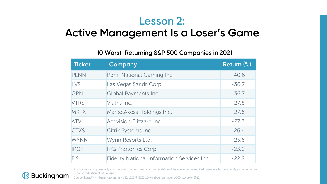#### **Lesson 2:**

#### **Active Management Is a Loser's Game**

#### **10 Worst-Returning S&P 500 Companies in 2021**

| <b>Ticker</b> | Company                                            | Return (%) |
|---------------|----------------------------------------------------|------------|
| <b>PENN</b>   | Penn National Gaming Inc.                          | $-40.6$    |
| <b>LVS</b>    | Las Vegas Sands Corp.                              | $-36.7$    |
| <b>GPN</b>    | Global Payments Inc.                               | $-36.7$    |
| <b>VTRS</b>   | Viatris Inc.                                       | $-27.6$    |
| <b>MKTX</b>   | MarketAxess Holdings Inc.                          | $-27.6$    |
| <b>ATVI</b>   | <b>Activision Blizzard Inc.</b>                    | $-27.3$    |
| <b>CTXS</b>   | Citrix Systems Inc.                                | $-26.4$    |
| <b>WYNN</b>   | Wynn Resorts Ltd.                                  | $-23.6$    |
| <b>IPGP</b>   | IPG Photonics Corp.                                | $-23.0$    |
| <b>FIS</b>    | <b>Fidelity National Information Services Inc.</b> | $-22.2$    |



For illustrative purposes only and should not be construed a recommendation of the above securities. Performance is historical and past performance is not an indication of future results.

Source: https://www.benzinga.com/news/21/12/24848823/10-worst-performing-s-p-500-stocks-of-2021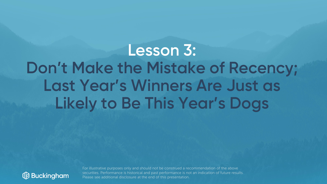## **Lesson 3: Don't Make the Mistake of Recency; Last Year's Winners Are Just as Likely to Be This Year's Dogs**



For illustrative purposes only and should not be construed a recommendation of the above securities. Performance is historical and past performance is not an indication of future results. Please see additional disclosure at the end of this presentation.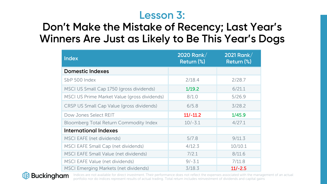#### **Lesson 3:**

#### **Don't Make the Mistake of Recency; Last Year's Winners Are Just as Likely to Be This Year's Dogs**

| <b>Index</b>                                  | 2020 Rank/<br>Return (%) | 2021 Rank/<br>Return (%) |
|-----------------------------------------------|--------------------------|--------------------------|
| <b>Domestic Indexes</b>                       |                          |                          |
| S&P 500 Index                                 | 2/18.4                   | 2/28.7                   |
| MSCI US Small Cap 1750 (gross dividends)      | 1/19.2                   | 6/21.1                   |
| MSCI US Prime Market Value (gross dividends)  | 8/1.0                    | 5/26.9                   |
| CRSP US Small Cap Value (gross dividends)     | 6/5.8                    | 3/28.2                   |
| Dow Jones Select REIT                         | $11/-11.2$               | 1/45.9                   |
| <b>Bloomberg Total Return Commodity Index</b> | $10/-3.1$                | 4/27.1                   |
| <b>International Indexes</b>                  |                          |                          |
| MSCI EAFE (net dividends)                     | 5/7.8                    | 9/11.3                   |
| MSCI EAFE Small Cap (net dividends)           | 4/12.3                   | 10/10.1                  |
| <b>MSCI EAFE Small Value (net dividends)</b>  | 7/2.1                    | 8/11.6                   |
| <b>MSCI EAFE Value (net dividends)</b>        | $9/-3.1$                 | 7/11.8                   |
| <b>MSCI Emerging Markets (net dividends)</b>  | 3/18.3                   | $11/-2.5$                |



Indices are not available for direct investment. Their performance does not reflect the expenses associated with the management of an actual portfolio nor do indices represent results of actual trading. Total return includes reinvestment of dividends and capital gains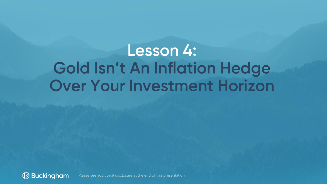## **Lesson 4: Gold Isn't An Inflation Hedge Over Your Investment Horizon**

**B** Buckingham Please see additional disclosure at the end of this presentation.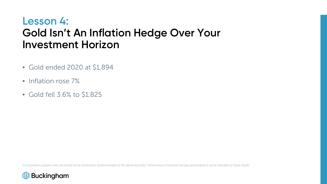#### **Lesson 4: Gold Isn't An Inflation Hedge Over Your Investment Horizon**

- Gold ended 2020 at \$1,894
- Inflation rose 7%
- Gold fell 3.6% to \$1,825

For illustrative purposes only and should not be construed a recommendation of the above securities. Performance is historical and past performance is not an indication of future results

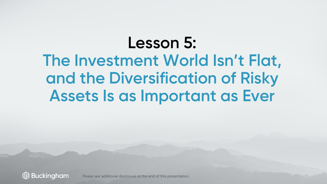## **Lesson 5: The Investment World Isn't Flat, and the Diversification of Risky Assets Is as Important as Ever**

**Buckingham** Please see additional disclosure at the end of this presentation.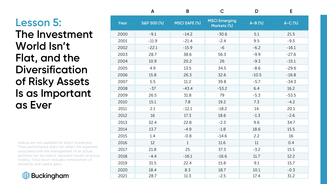#### **Lesson 5: The Investment World Isn't Flat, and the Diversification of Risky Assets Is as Important as Ever**

Indices are not available for direct investment. Their performance does not reflect the expenses associated with the management of an actual portfolio nor do indices represent results of actual trading. Total return includes reinvestment of dividends and capital gains



|      | A           | B                    | $\mathsf{C}$                        | D         | E        |
|------|-------------|----------------------|-------------------------------------|-----------|----------|
| Year | S&P 500 (%) | <b>MSCI EAFE (%)</b> | <b>MSCI Emerging</b><br>Markets (%) | $A-B$ (%) | $A-C(%)$ |
| 2000 | $-9.1$      | $-14.2$              | $-30.6$                             | 5.1       | 21.5     |
| 2001 | $-11.9$     | $-21.4$              | $-2.4$                              | 9.5       | $-9.5$   |
| 2002 | $-22.1$     | $-15.9$              | $-6$                                | $-6.2$    | $-16.1$  |
| 2003 | 28.7        | 38.6                 | 56.3                                | $-9.9$    | $-27.6$  |
| 2004 | 10.9        | 20.2                 | 26                                  | $-9.3$    | $-15.1$  |
| 2005 | 4.9         | 13.5                 | 34.5                                | $-8.6$    | $-29.6$  |
| 2006 | 15.8        | 26.3                 | 32.6                                | $-10.5$   | $-16.8$  |
| 2007 | 5.5         | 11.2                 | 39.8                                | $-5.7$    | $-34.3$  |
| 2008 | $-37$       | $-43.4$              | $-53.2$                             | 6.4       | 16.2     |
| 2009 | 26.5        | 31.8                 | 79                                  | $-5.3$    | $-53.5$  |
| 2010 | 15.1        | 7.8                  | 19.2                                | 7.3       | $-4.2$   |
| 2011 | 2.1         | $-12.1$              | $-18.2$                             | 14        | 20.1     |
| 2012 | 16          | 17.3                 | 18.6                                | $-1.3$    | $-2.6$   |
| 2013 | 32.4        | 22.8                 | $-2.3$                              | 9.6       | 34.7     |
| 2014 | 13.7        | $-4.9$               | $-1.8$                              | 18.6      | 15.5     |
| 2015 | 1.4         | $-0.8$               | $-14.6$                             | 2.2       | 16       |
| 2016 | 12          | $\mathbf{1}$         | 11.6                                | 11        | 0.4      |
| 2017 | 21.8        | 25                   | 37.3                                | $-3.2$    | 15.5     |
| 2018 | $-4.4$      | $-16.1$              | $-16.6$                             | 11.7      | 12.2     |
| 2019 | 31.5        | 22.4                 | 15.8                                | 9.1       | 15.7     |
| 2020 | 18.4        | 8.3                  | 18.7                                | 10.1      | $-0.3$   |
| 2021 | 28.7        | 11.3                 | $-2.5$                              | 17.4      | 31.2     |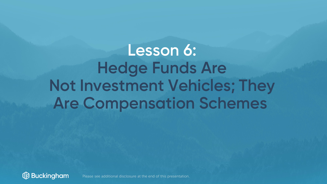## **Lesson 6: Hedge Funds Are Not Investment Vehicles; They Are Compensation Schemes**



Please see additional disclosure at the end of this presentation.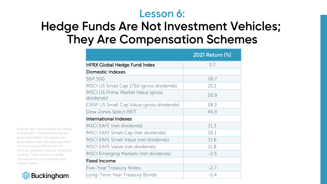#### **Lesson 6:**

### **Hedge Funds Are Not Investment Vehicles; They Are Compensation Schemes**

|                                                        | 2021 Return (%) |
|--------------------------------------------------------|-----------------|
| <b>HFRX Global Hedge Fund Index</b>                    | 3.7             |
| <b>Domestic Indexes</b>                                |                 |
| S&P 500                                                | 28.7            |
| MSCI US Small Cap 1750 (gross dividends)               | 21.1            |
| <b>MSCI US Prime Market Value (gross</b><br>dividends) | 26.9            |
| CRSP US Small Cap Value (gross dividends)              | 28.2            |
| Dow Jones Select REIT                                  | 45.9            |
| International Indexes                                  |                 |
| <b>MSCI EAFE (net dividends)</b>                       | 11.3            |
| <b>MSCI EAFE Small Cap (net dividends)</b>             | 10.1            |
| <b>MSCI EAFE Small Value (net dividends)</b>           | 11.6            |
| <b>MSCI EAFE Value (net dividends)</b>                 | 11.8            |
| <b>MSCI Emerging Markets (net dividends)</b>           | $-2.5$          |
| <b>Fixed Income</b>                                    |                 |
| <b>Five-Year Treasury Notes</b>                        | $-2.7$          |
| Long-Term Year Treasury Bonds                          | $-5.4$          |

Indices are not available for direct investment. Their performance does not reflect the expenses associated with the management of an actual portfolio nor do indices represent results of actual trading. Total return includes reinvestment of dividends and capital gains.

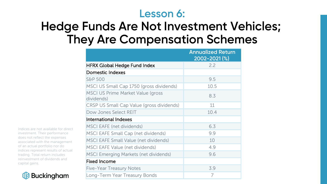#### **Lesson 6:**

### **Hedge Funds Are Not Investment Vehicles; They Are Compensation Schemes**

|                                                 | <b>Annualized Return</b><br>2002-2021(%) |
|-------------------------------------------------|------------------------------------------|
| <b>HFRX Global Hedge Fund Index</b>             | 2.2                                      |
| <b>Domestic Indexes</b>                         |                                          |
| <b>S&amp;P 500</b>                              | 9.5                                      |
| MSCI US Small Cap 1750 (gross dividends)        | 10.5                                     |
| MSCI US Prime Market Value (gross<br>dividends) | 8.3                                      |
| CRSP US Small Cap Value (gross dividends)       | 11                                       |
| Dow Jones Select REIT                           | 10.4                                     |
| <b>International Indexes</b>                    |                                          |
| <b>MSCI EAFE (net dividends)</b>                | 6.3                                      |
| MSCI EAFE Small Cap (net dividends)             | 9.9                                      |
| <b>MSCI EAFE Small Value (net dividends)</b>    | 10                                       |
| <b>MSCI EAFE Value (net dividends)</b>          | 4.9                                      |
| <b>MSCI Emerging Markets (net dividends)</b>    | 9.6                                      |
| <b>Fixed Income</b>                             |                                          |
| <b>Five-Year Treasury Notes</b>                 | 3.9                                      |
| Long-Term Year Treasury Bonds                   | 7                                        |

Indices are not available for direct investment. Their performance does not reflect the expenses associated with the management of an actual portfolio nor do indices represent results of actual trading. Total return includes reinvestment of dividends and capital gains.

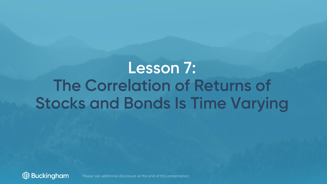## **Lesson 7: The Correlation of Returns of Stocks and Bonds Is Time Varying**



Please see additional disclosure at the end of this presentation.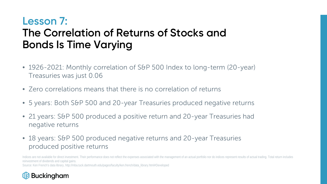#### **Lesson 7: The Correlation of Returns of Stocks and Bonds Is Time Varying**

- 1926-2021: Monthly correlation of S&P 500 Index to long-term (20-year) Treasuries was just 0.06
- Zero correlations means that there is no correlation of returns
- 5 years: Both S&P 500 and 20-year Treasuries produced negative returns
- 21 years: S&P 500 produced a positive return and 20-year Treasuries had negative returns
- 18 years: S&P 500 produced negative returns and 20-year Treasuries produced positive returns

Indices are not available for direct investment. Their performance does not reflect the expenses associated with the management of an actual portfolio nor do indices represent results of actual trading. Total return includ reinvestment of dividends and capital gains. Source: Ken French's data library, http://mba.tuck.dartmouth.edu/pages/faculty/ken.french/data\_library.html#Developed

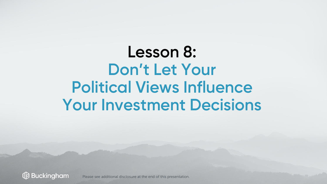## **Lesson 8: Don't Let Your Political Views Influence Your Investment Decisions**

**Buckingham** Please see additional disclosure at the end of this presentation.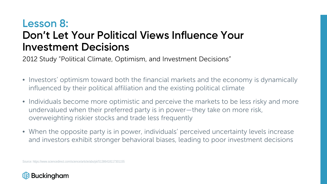#### **Lesson 8: Don't Let Your Political Views Influence Your Investment Decisions**

2012 Study "Political Climate, Optimism, and Investment Decisions"

- Investors' optimism toward both the financial markets and the economy is dynamically influenced by their political affiliation and the existing political climate
- Individuals become more optimistic and perceive the markets to be less risky and more undervalued when their preferred party is in power—they take on more risk, overweighting riskier stocks and trade less frequently
- When the opposite party is in power, individuals' perceived uncertainty levels increase and investors exhibit stronger behavioral biases, leading to poor investment decisions

Source: https://www.sciencedirect.com/science/article/abs/pii/S1386418117301155

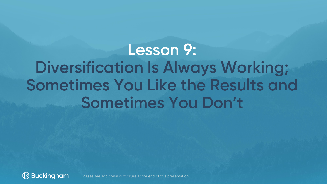## **Lesson 9: Diversification Is Always Working; Sometimes You Like the Results and Sometimes You Don't**



Please see additional disclosure at the end of this presentation.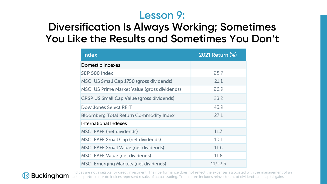#### **Lesson 9:**

#### **Diversification Is Always Working; Sometimes You Like the Results and Sometimes You Don't**

| <b>Index</b>                                        | 2021 Return (%) |
|-----------------------------------------------------|-----------------|
| Domestic Indexes                                    |                 |
| S&P 500 Index                                       | 28.7            |
| MSCI US Small Cap 1750 (gross dividends)            | 21.1            |
| <b>MSCI US Prime Market Value (gross dividends)</b> | 26.9            |
| <b>CRSP US Small Cap Value (gross dividends)</b>    | 28.2            |
| <b>Dow Jones Select REIT</b>                        | 45.9            |
| <b>Bloomberg Total Return Commodity Index</b>       | 27.1            |
| <b>International Indexes</b>                        |                 |
| <b>MSCI EAFE (net dividends)</b>                    | 11.3            |
| <b>MSCI EAFE Small Cap (net dividends)</b>          | 10.1            |
| <b>MSCI EAFE Small Value (net dividends)</b>        | 11.6            |
| <b>MSCI EAFE Value (net dividends)</b>              | 11.8            |
| <b>MSCI Emerging Markets (net dividends)</b>        | $11/-2.5$       |



Indices are not available for direct investment. Their performance does not reflect the expenses associated with the management of an actual portfolio nor do indices represent results of actual trading. Total return includes reinvestment of dividends and capital gains.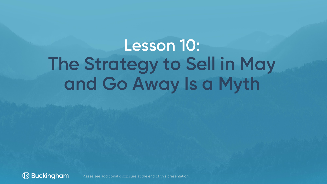## **Lesson 10: The Strategy to Sell in May and Go Away Is a Myth**



Please see additional disclosure at the end of this presentation.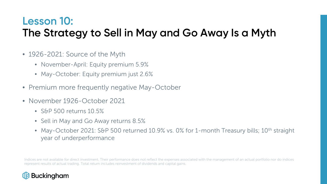### **Lesson 10: The Strategy to Sell in May and Go Away Is a Myth**

- 1926-2021: Source of the Myth
	- November-April: Equity premium 5.9%
	- May-October: Equity premium just 2.6%
- Premium more frequently negative May-October
- November 1926-October 2021
	- S&P 500 returns 10.5%
	- Sell in May and Go Away returns 8.5%
	- May-October 2021: S&P 500 returned 10.9% vs. 0% for 1-month Treasury bills; 10<sup>th</sup> straight year of underperformance

Indices are not available for direct investment. Their performance does not reflect the expenses associated with the management of an actual portfolio nor do indices represent results of actual trading. Total return includes reinvestment of dividends and capital gains.

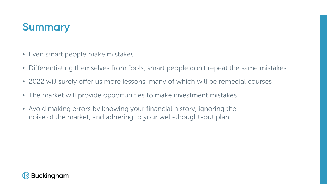### **Summary**

- Even smart people make mistakes
- Differentiating themselves from fools, smart people don't repeat the same mistakes
- 2022 will surely offer us more lessons, many of which will be remedial courses
- The market will provide opportunities to make investment mistakes
- Avoid making errors by knowing your financial history, ignoring the noise of the market, and adhering to your well-thought-out plan